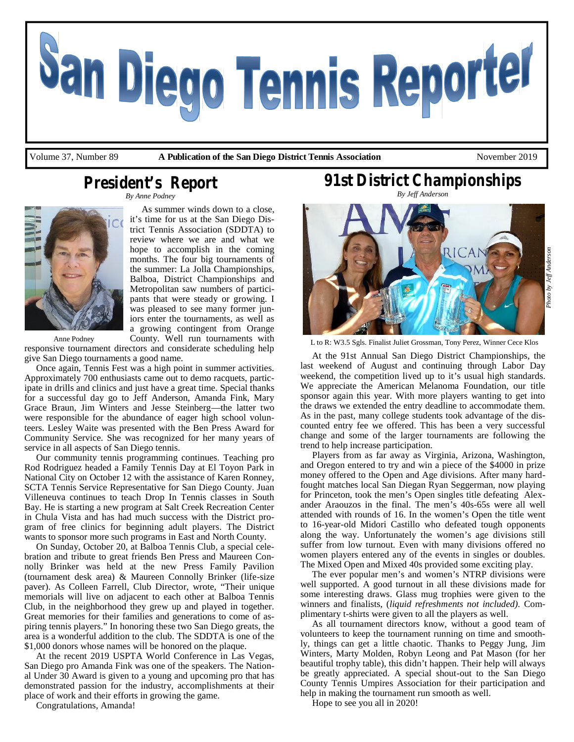# San Diego Tennis Reporter

Volume 37, Number 89 **A Publication of the San Diego District Tennis Association** November 2019

# *President's Report*

*By Anne Podney*



As summer winds down to a close, it's time for us at the San Diego District Tennis Association (SDDTA) to review where we are and what we hope to accomplish in the coming months. The four big tournaments of the summer: La Jolla Championships, Balboa, District Championships and Metropolitan saw numbers of participants that were steady or growing. I was pleased to see many former juniors enter the tournaments, as well as a growing contingent from Orange County. Well run tournaments with

responsive tournament directors and considerate scheduling help give San Diego tournaments a good name. Anne Podney

Once again, Tennis Fest was a high point in summer activities. Approximately 700 enthusiasts came out to demo racquets, participate in drills and clinics and just have a great time. Special thanks for a successful day go to Jeff Anderson, Amanda Fink, Mary Grace Braun, Jim Winters and Jesse Steinberg—the latter two were responsible for the abundance of eager high school volunteers. Lesley Waite was presented with the Ben Press Award for Community Service. She was recognized for her many years of service in all aspects of San Diego tennis.

Our community tennis programming continues. Teaching pro Rod Rodriguez headed a Family Tennis Day at El Toyon Park in National City on October 12 with the assistance of Karen Ronney, SCTA Tennis Service Representative for San Diego County. Juan Villeneuva continues to teach Drop In Tennis classes in South Bay. He is starting a new program at Salt Creek Recreation Center in Chula Vista and has had much success with the District program of free clinics for beginning adult players. The District wants to sponsor more such programs in East and North County.

On Sunday, October 20, at Balboa Tennis Club, a special celebration and tribute to great friends Ben Press and Maureen Connolly Brinker was held at the new Press Family Pavilion (tournament desk area) & Maureen Connolly Brinker (life-size paver). As Colleen Farrell, Club Director, wrote, "Their unique memorials will live on adjacent to each other at Balboa Tennis Club, in the neighborhood they grew up and played in together. Great memories for their families and generations to come of aspiring tennis players." In honoring these two San Diego greats, the area is a wonderful addition to the club. The SDDTA is one of the \$1,000 donors whose names will be honored on the plaque.

At the recent 2019 USPTA World Conference in Las Vegas, San Diego pro Amanda Fink was one of the speakers. The National Under 30 Award is given to a young and upcoming pro that has demonstrated passion for the industry, accomplishments at their place of work and their efforts in growing the game.

Congratulations, Amanda!

*91st District Championships By Jeff Anderson*



L to R: W3.5 Sgls. Finalist Juliet Grossman, Tony Perez, Winner Cece Klos

At the 91st Annual San Diego District Championships, the last weekend of August and continuing through Labor Day weekend, the competition lived up to it's usual high standards. We appreciate the American Melanoma Foundation, our title sponsor again this year. With more players wanting to get into the draws we extended the entry deadline to accommodate them. As in the past, many college students took advantage of the discounted entry fee we offered. This has been a very successful change and some of the larger tournaments are following the trend to help increase participation.

Players from as far away as Virginia, Arizona, Washington, and Oregon entered to try and win a piece of the \$4000 in prize money offered to the Open and Age divisions. After many hardfought matches local San Diegan Ryan Seggerman, now playing for Princeton, took the men's Open singles title defeating Alexander Araouzos in the final. The men's 40s-65s were all well attended with rounds of 16. In the women's Open the title went to 16-year-old Midori Castillo who defeated tough opponents along the way. Unfortunately the women's age divisions still suffer from low turnout. Even with many divisions offered no women players entered any of the events in singles or doubles. The Mixed Open and Mixed 40s provided some exciting play.

The ever popular men's and women's NTRP divisions were well supported. A good turnout in all these divisions made for some interesting draws. Glass mug trophies were given to the winners and finalists, (*liquid refreshments not included).* Complimentary t-shirts were given to all the players as well.

As all tournament directors know, without a good team of volunteers to keep the tournament running on time and smoothly, things can get a little chaotic. Thanks to Peggy Jung, Jim Winters, Marty Molden, Robyn Leong and Pat Mason (for her beautiful trophy table), this didn't happen. Their help will always be greatly appreciated. A special shout-out to the San Diego County Tennis Umpires Association for their participation and help in making the tournament run smooth as well.

Hope to see you all in 2020!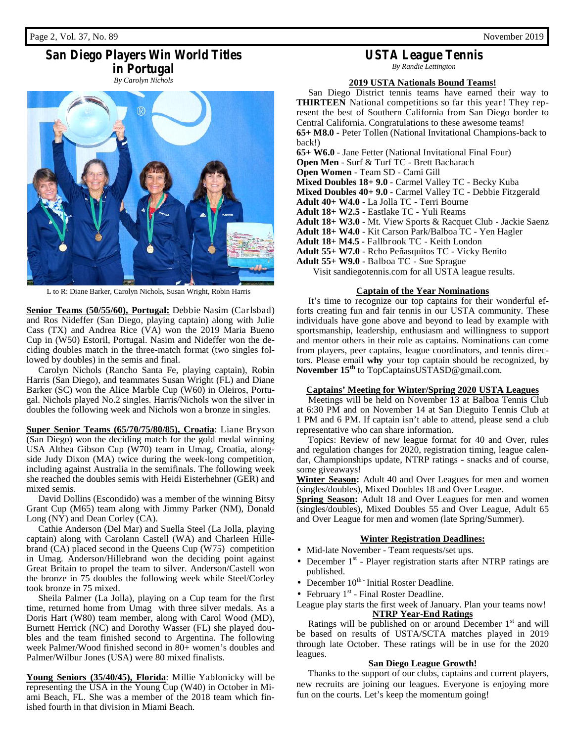

L to R: Diane Barker, Carolyn Nichols, Susan Wright, Robin Harris

**Senior Teams (50/55/60), Portugal:** Debbie Nasim (Carlsbad) and Ros Nideffer (San Diego, playing captain) along with Julie Cass (TX) and Andrea Rice (VA) won the 2019 Maria Bueno Cup in (W50) Estoril, Portugal. Nasim and Nideffer won the deciding doubles match in the three-match format (two singles followed by doubles) in the semis and final.

Carolyn Nichols (Rancho Santa Fe, playing captain), Robin Harris (San Diego), and teammates Susan Wright (FL) and Diane Barker (SC) won the Alice Marble Cup (W60) in Oleiros, Portugal. Nichols played No.2 singles. Harris/Nichols won the silver in doubles the following week and Nichols won a bronze in singles.

**Super Senior Teams (65/70/75/80/85), Croatia**: Liane Bryson (San Diego) won the deciding match for the gold medal winning USA Althea Gibson Cup (W70) team in Umag, Croatia, alongside Judy Dixon (MA) twice during the week-long competition, including against Australia in the semifinals. The following week she reached the doubles semis with Heidi Eisterhehner (GER) and mixed semis.

David Dollins (Escondido) was a member of the winning Bitsy Grant Cup (M65) team along with Jimmy Parker (NM), Donald Long (NY) and Dean Corley (CA).

Cathie Anderson (Del Mar) and Suella Steel (La Jolla, playing captain) along with Carolann Castell (WA) and Charleen Hillebrand (CA) placed second in the Queens Cup (W75) competition in Umag. Anderson/Hillebrand won the deciding point against Great Britain to propel the team to silver. Anderson/Castell won the bronze in 75 doubles the following week while Steel/Corley took bronze in 75 mixed.

Sheila Palmer (La Jolla), playing on a Cup team for the first time, returned home from Umag with three silver medals. As a Doris Hart (W80) team member, along with Carol Wood (MD), Burnett Herrick (NC) and Dorothy Wasser (FL) she played doubles and the team finished second to Argentina. The following week Palmer/Wood finished second in 80+ women's doubles and Palmer/Wilbur Jones (USA) were 80 mixed finalists.

**Young Seniors (35/40/45), Florida**: Millie Yablonicky will be representing the USA in the Young Cup (W40) in October in Miami Beach, FL. She was a member of the 2018 team which finished fourth in that division in Miami Beach.

# *USTA League Tennis*

*By Randie Lettington*

# **2019 USTA Nationals Bound Teams!**

San Diego District tennis teams have earned their way to **THIRTEEN** National competitions so far this year! They represent the best of Southern California from San Diego border to Central California. Congratulations to these awesome teams! **65+ M8.0** - Peter Tollen (National Invitational Champions-back to back!)

**65+ W6.0** - Jane Fetter (National Invitational Final Four)

**Open Men** - Surf & Turf TC - Brett Bacharach

**Open Women** - Team SD - Cami Gill

**Mixed Doubles 18+ 9.0** - Carmel Valley TC - Becky Kuba

**Mixed Doubles 40+ 9.0** - Carmel Valley TC - Debbie Fitzgerald

**Adult 40+ W4.0** - La Jolla TC - Terri Bourne

**Adult 18+ W2.5** - Eastlake TC - Yuli Reams

**Adult 18+ W3.0** - Mt. View Sports & Racquet Club - Jackie Saenz

**Adult 18+ W4.0** - Kit Carson Park/Balboa TC - Yen Hagler

**Adult 18+ M4.5 -** Fallbrook TC - Keith London

**Adult 55+ W7.0** - Rcho Peñasquitos TC - Vicky Benito

**Adult 55+ W9.0 -** Balboa TC - Sue Sprague

Visit sandiegotennis.com for all USTA league results.

# **Captain of the Year Nominations**

It's time to recognize our top captains for their wonderful efforts creating fun and fair tennis in our USTA community. These individuals have gone above and beyond to lead by example with sportsmanship, leadership, enthusiasm and willingness to support and mentor others in their role as captains. Nominations can come from players, peer captains, league coordinators, and tennis directors. Please email **why** your top captain should be recognized, by **November 15th** to TopCaptainsUSTASD@gmail.com.

### **Captains' Meeting for Winter/Spring 2020 USTA Leagues**

Meetings will be held on November 13 at Balboa Tennis Club at 6:30 PM and on November 14 at San Dieguito Tennis Club at 1 PM and 6 PM. If captain isn't able to attend, please send a club representative who can share information.

Topics: Review of new league format for 40 and Over, rules and regulation changes for 2020, registration timing, league calendar, Championships update, NTRP ratings - snacks and of course, some giveaways!

**Winter Season:** Adult 40 and Over Leagues for men and women (singles/doubles), Mixed Doubles 18 and Over League.

**Spring Season:** Adult 18 and Over Leagues for men and women (singles/doubles), Mixed Doubles 55 and Over League, Adult 65 and Over League for men and women (late Spring/Summer).

### **Winter Registration Deadlines:**

- Mid-late November Team requests/set ups.
- December  $1<sup>st</sup>$  Player registration starts after NTRP ratings are published.
- $\bullet$  December 10<sup>th</sup> Initial Roster Deadline.
- February  $1<sup>st</sup>$  Final Roster Deadline.

## League play starts the first week of January. Plan your teams now! **NTRP Year-End Ratings**

Ratings will be published on or around December  $1<sup>st</sup>$  and will be based on results of USTA/SCTA matches played in 2019 through late October. These ratings will be in use for the 2020 leagues.

# **San Diego League Growth!**

Thanks to the support of our clubs, captains and current players, new recruits are joining our leagues. Everyone is enjoying more fun on the courts. Let's keep the momentum going!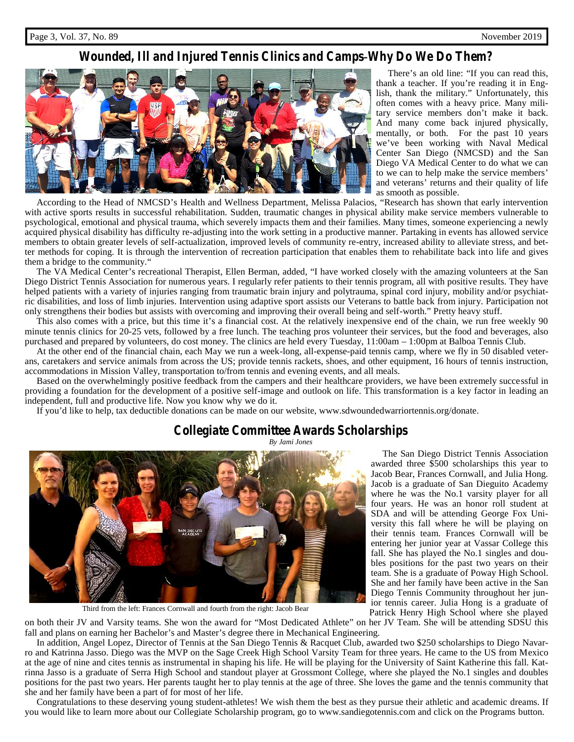# *Wounded, Ill and Injured Tennis Clinics and Camps-Why Do We Do Them?*



There's an old line: "If you can read this, thank a teacher. If you're reading it in English, thank the military." Unfortunately, this often comes with a heavy price. Many military service members don't make it back. And many come back injured physically, mentally, or both. For the past 10 years we've been working with Naval Medical Center San Diego (NMCSD) and the San Diego VA Medical Center to do what we can to we can to help make the service members' and veterans' returns and their quality of life as smooth as possible.

According to the Head of NMCSD's Health and Wellness Department, Melissa Palacios, "Research has shown that early intervention with active sports results in successful rehabilitation. Sudden, traumatic changes in physical ability make service members vulnerable to psychological, emotional and physical trauma, which severely impacts them and their families. Many times, someone experiencing a newly acquired physical disability has difficulty re-adjusting into the work setting in a productive manner. Partaking in events has allowed service members to obtain greater levels of self-actualization, improved levels of community re-entry, increased ability to alleviate stress, and better methods for coping. It is through the intervention of recreation participation that enables them to rehabilitate back into life and gives them a bridge to the community."

The VA Medical Center's recreational Therapist, Ellen Berman, added, "I have worked closely with the amazing volunteers at the San Diego District Tennis Association for numerous years. I regularly refer patients to their tennis program, all with positive results. They have helped patients with a variety of injuries ranging from traumatic brain injury and polytrauma, spinal cord injury, mobility and/or psychiatric disabilities, and loss of limb injuries. Intervention using adaptive sport assists our Veterans to battle back from injury. Participation not only strengthens their bodies but assists with overcoming and improving their overall being and self-worth." Pretty heavy stuff.

This also comes with a price, but this time it's a financial cost. At the relatively inexpensive end of the chain, we run free weekly 90 minute tennis clinics for 20-25 vets, followed by a free lunch. The teaching pros volunteer their services, but the food and beverages, also purchased and prepared by volunteers, do cost money. The clinics are held every Tuesday, 11:00am – 1:00pm at Balboa Tennis Club.

At the other end of the financial chain, each May we run a week-long, all-expense-paid tennis camp, where we fly in 50 disabled veterans, caretakers and service animals from across the US; provide tennis rackets, shoes, and other equipment, 16 hours of tennis instruction, accommodations in Mission Valley, transportation to/from tennis and evening events, and all meals.

Based on the overwhelmingly positive feedback from the campers and their healthcare providers, we have been extremely successful in providing a foundation for the development of a positive self-image and outlook on life. This transformation is a key factor in leading an independent, full and productive life. Now you know why we do it.

If you'd like to help, tax deductible donations can be made on our website, www.sdwoundedwarriortennis.org/donate.

# *Collegiate Committee Awards Scholarships*

*By Jami Jones*



Third from the left: Frances Cornwall and fourth from the right: Jacob Bear

The San Diego District Tennis Association awarded three \$500 scholarships this year to Jacob Bear, Frances Cornwall, and Julia Hong. Jacob is a graduate of San Dieguito Academy where he was the No.1 varsity player for all four years. He was an honor roll student at SDA and will be attending George Fox University this fall where he will be playing on their tennis team. Frances Cornwall will be entering her junior year at Vassar College this fall. She has played the No.1 singles and doubles positions for the past two years on their team. She is a graduate of Poway High School. She and her family have been active in the San Diego Tennis Community throughout her junior tennis career. Julia Hong is a graduate of Patrick Henry High School where she played

on both their JV and Varsity teams. She won the award for "Most Dedicated Athlete" on her JV Team. She will be attending SDSU this fall and plans on earning her Bachelor's and Master's degree there in Mechanical Engineering.

In addition, Angel Lopez, Director of Tennis at the San Diego Tennis & Racquet Club, awarded two \$250 scholarships to Diego Navarro and Katrinna Jasso. Diego was the MVP on the Sage Creek High School Varsity Team for three years. He came to the US from Mexico at the age of nine and cites tennis as instrumental in shaping his life. He will be playing for the University of Saint Katherine this fall. Katrinna Jasso is a graduate of Serra High School and standout player at Grossmont College, where she played the No.1 singles and doubles positions for the past two years. Her parents taught her to play tennis at the age of three. She loves the game and the tennis community that she and her family have been a part of for most of her life.

Congratulations to these deserving young student-athletes! We wish them the best as they pursue their athletic and academic dreams. If you would like to learn more about our Collegiate Scholarship program, go to www.sandiegotennis.com and click on the Programs button.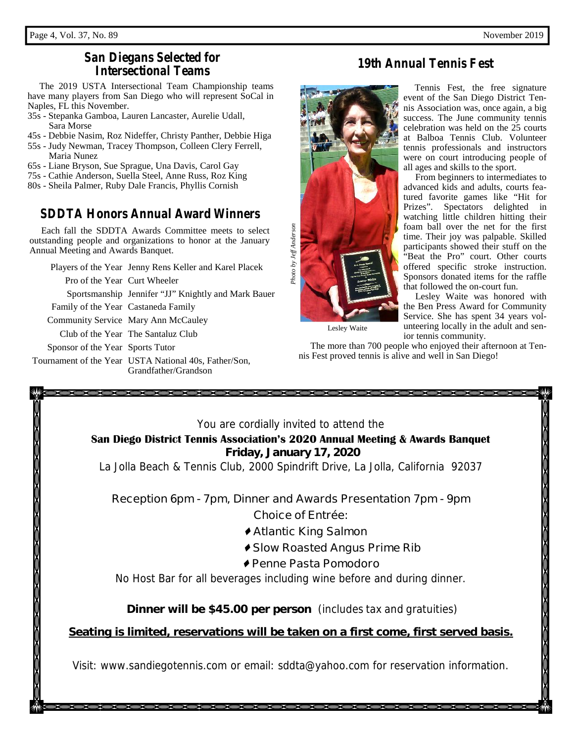# *San Diegans Selected for Intersectional Teams*

The 2019 USTA Intersectional Team Championship teams have many players from San Diego who will represent SoCal in Naples, FL this November.

- 35s Stepanka Gamboa, Lauren Lancaster, Aurelie Udall, Sara Morse
- 45s Debbie Nasim, Roz Nideffer, Christy Panther, Debbie Higa
- 55s Judy Newman, Tracey Thompson, Colleen Clery Ferrell, Maria Nunez
- 65s Liane Bryson, Sue Sprague, Una Davis, Carol Gay
- 75s Cathie Anderson, Suella Steel, Anne Russ, Roz King
- 80s Sheila Palmer, Ruby Dale Francis, Phyllis Cornish

# *SDDTA Honors Annual Award Winners*

Each fall the SDDTA Awards Committee meets to select Each fall the SDDTA Awards Committee meets to select<br>outstanding people and organizations to honor at the January<br>Annual Meeting and Awards Banquet. Annual Meeting and Awards Banquet.

|                                     | Players of the Year Jenny Rens Keller and Karel Placek | で     |
|-------------------------------------|--------------------------------------------------------|-------|
| Pro of the Year Curt Wheeler        |                                                        | Photo |
|                                     | Sportsmanship Jennifer "JJ" Knightly and Mark Bauer    |       |
| Family of the Year Castaneda Family |                                                        |       |
| Community Service Mary Ann McCauley |                                                        |       |
| Club of the Year The Santaluz Club  |                                                        |       |
| Sponsor of the Year Sports Tutor    |                                                        |       |

Tournament of the Year USTA National 40s, Father/Son, Grandfather/Grandson

| You are cordially invited to attend the                                              |
|--------------------------------------------------------------------------------------|
| San Diego District Tennis Association's 2020 Annual Meeting & Awards Banquet         |
| Friday, January 17, 2020                                                             |
| La Jolla Beach & Tennis Club, 2000 Spindrift Drive, La Jolla, California 92037       |
| Reception 6pm - 7pm, Dinner and Awards Presentation 7pm - 9pm                        |
| <b>Choice of Entrée:</b>                                                             |
| ◆ Atlantic King Salmon                                                               |
| ♦ Slow Roasted Angus Prime Rib                                                       |
| ◆ Penne Pasta Pomodoro                                                               |
| No Host Bar for all beverages including wine before and during dinner.               |
| Dinner will be \$45.00 per person (includes tax and gratuities)                      |
|                                                                                      |
| Seating is limited, reservations will be taken on a first come, first served basis.  |
|                                                                                      |
| Visit: www.sandiegotennis.com or email: sddta@yahoo.com for reservation information. |

# *Photo by Jeff Anderson*

*19th Annual Tennis Fest*



Tennis Fest, the free signature event of the San Diego District Tennis Association was, once again, a big success. The June community tennis celebration was held on the 25 courts at Balboa Tennis Club. Volunteer tennis professionals and instructors were on court introducing people of all ages and skills to the sport.

From beginners to intermediates to advanced kids and adults, courts featured favorite games like "Hit for Prizes". Spectators delighted in watching little children hitting their foam ball over the net for the first time. Their joy was palpable. Skilled participants showed their stuff on the "Beat the Pro" court. Other courts offered specific stroke instruction. Sponsors donated items for the raffle that followed the on-court fun.

Lesley Waite was honored with the Ben Press Award for Community Service. She has spent 34 years volunteering locally in the adult and senior tennis community.

Lesley Waite

The more than 700 people who enjoyed their afternoon at Tennis Fest proved tennis is alive and well in San Diego!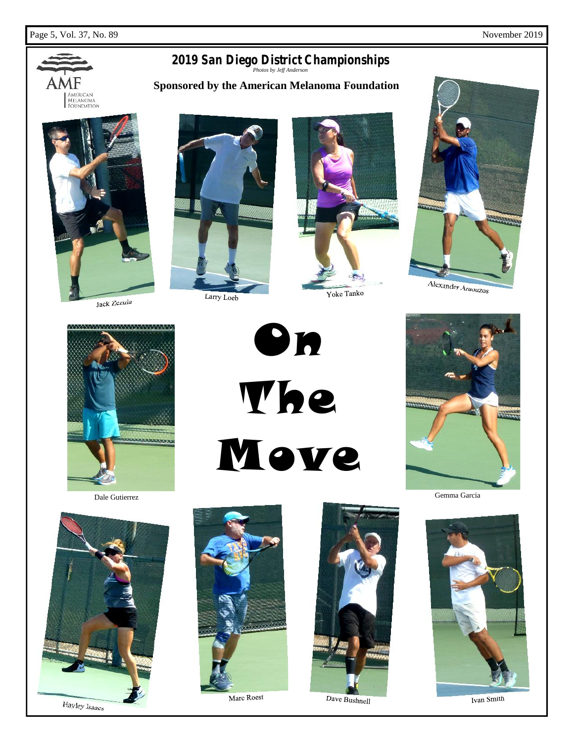

# *2019 San Diego District Championships Photos by Jeff Anderson*

# **Sponsored by the American Melanoma Foundation**



Jack Zezula



Larry Loeb







Dale Gutierrez Gemma Garcia

On The Move



Gemma Garcia





Marc Roest



Dave Bushnell



Ivan Smith